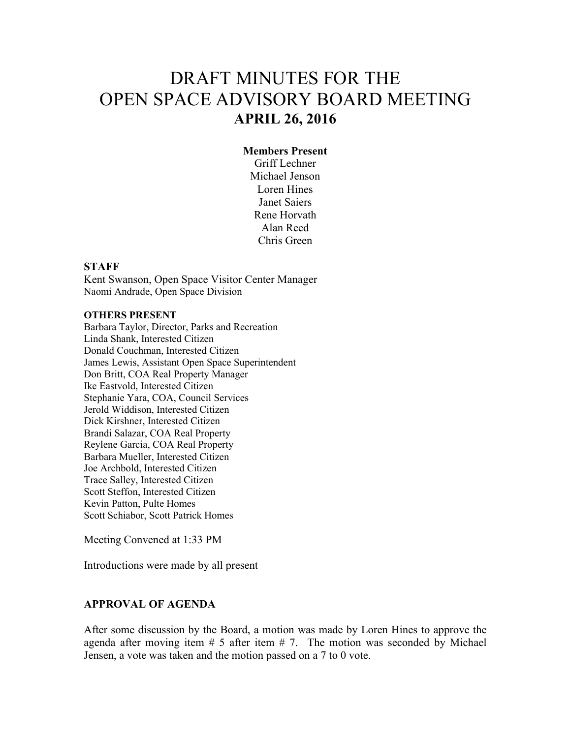# DRAFT MINUTES FOR THE OPEN SPACE ADVISORY BOARD MEETING **APRIL 26, 2016**

#### **Members Present**

Griff Lechner Michael Jenson Loren Hines Janet Saiers Rene Horvath Alan Reed Chris Green

#### **STAFF**

Kent Swanson, Open Space Visitor Center Manager Naomi Andrade, Open Space Division

#### **OTHERS PRESENT**

Barbara Taylor, Director, Parks and Recreation Linda Shank, Interested Citizen Donald Couchman, Interested Citizen James Lewis, Assistant Open Space Superintendent Don Britt, COA Real Property Manager Ike Eastvold, Interested Citizen Stephanie Yara, COA, Council Services Jerold Widdison, Interested Citizen Dick Kirshner, Interested Citizen Brandi Salazar, COA Real Property Reylene Garcia, COA Real Property Barbara Mueller, Interested Citizen Joe Archbold, Interested Citizen Trace Salley, Interested Citizen Scott Steffon, Interested Citizen Kevin Patton, Pulte Homes Scott Schiabor, Scott Patrick Homes

Meeting Convened at 1:33 PM

Introductions were made by all present

# **APPROVAL OF AGENDA**

After some discussion by the Board, a motion was made by Loren Hines to approve the agenda after moving item  $# 5$  after item  $# 7$ . The motion was seconded by Michael Jensen, a vote was taken and the motion passed on a 7 to 0 vote.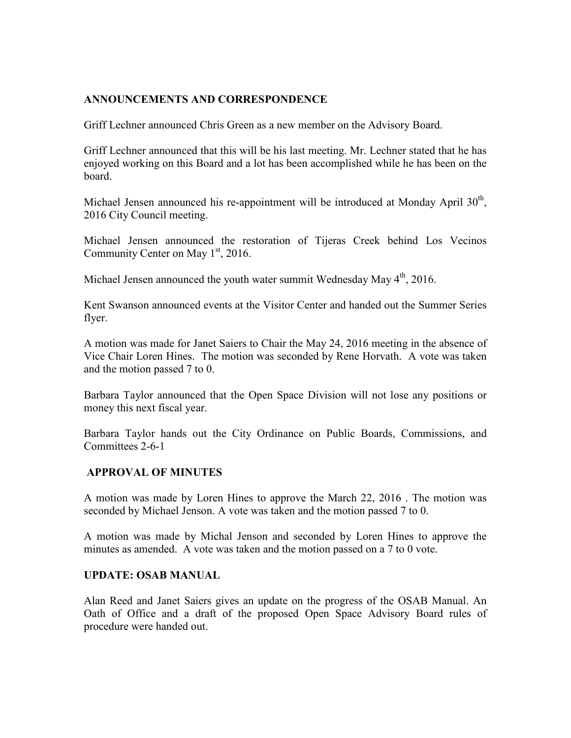## **ANNOUNCEMENTS AND CORRESPONDENCE**

Griff Lechner announced Chris Green as a new member on the Advisory Board.

Griff Lechner announced that this will be his last meeting. Mr. Lechner stated that he has enjoyed working on this Board and a lot has been accomplished while he has been on the board.

Michael Jensen announced his re-appointment will be introduced at Monday April  $30<sup>th</sup>$ , 2016 City Council meeting.

Michael Jensen announced the restoration of Tijeras Creek behind Los Vecinos Community Center on May  $1<sup>st</sup>$ , 2016.

Michael Jensen announced the youth water summit Wednesday May  $4<sup>th</sup>$ , 2016.

Kent Swanson announced events at the Visitor Center and handed out the Summer Series flyer.

A motion was made for Janet Saiers to Chair the May 24, 2016 meeting in the absence of Vice Chair Loren Hines. The motion was seconded by Rene Horvath. A vote was taken and the motion passed 7 to 0.

Barbara Taylor announced that the Open Space Division will not lose any positions or money this next fiscal year.

Barbara Taylor hands out the City Ordinance on Public Boards, Commissions, and Committees 2-6-1

#### **APPROVAL OF MINUTES**

A motion was made by Loren Hines to approve the March 22, 2016 . The motion was seconded by Michael Jenson. A vote was taken and the motion passed 7 to 0.

A motion was made by Michal Jenson and seconded by Loren Hines to approve the minutes as amended. A vote was taken and the motion passed on a 7 to 0 vote.

#### **UPDATE: OSAB MANUAL**

Alan Reed and Janet Saiers gives an update on the progress of the OSAB Manual. An Oath of Office and a draft of the proposed Open Space Advisory Board rules of procedure were handed out.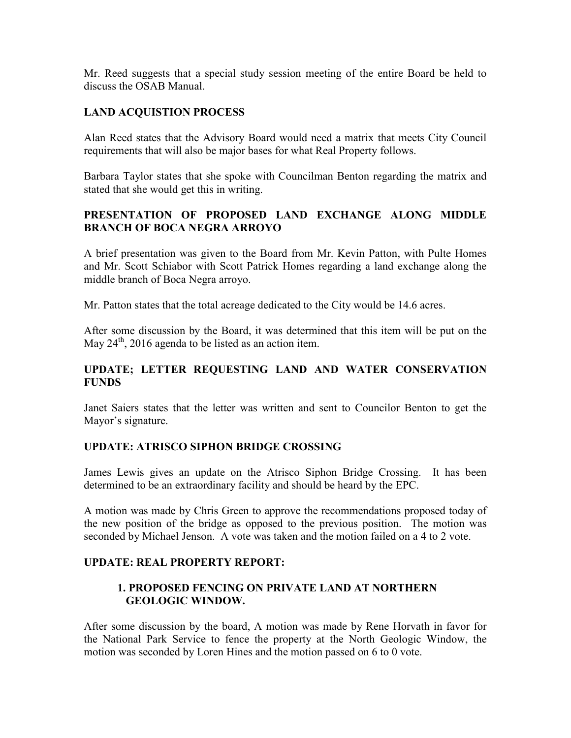Mr. Reed suggests that a special study session meeting of the entire Board be held to discuss the OSAB Manual.

## **LAND ACQUISTION PROCESS**

Alan Reed states that the Advisory Board would need a matrix that meets City Council requirements that will also be major bases for what Real Property follows.

Barbara Taylor states that she spoke with Councilman Benton regarding the matrix and stated that she would get this in writing.

# **PRESENTATION OF PROPOSED LAND EXCHANGE ALONG MIDDLE BRANCH OF BOCA NEGRA ARROYO**

A brief presentation was given to the Board from Mr. Kevin Patton, with Pulte Homes and Mr. Scott Schiabor with Scott Patrick Homes regarding a land exchange along the middle branch of Boca Negra arroyo.

Mr. Patton states that the total acreage dedicated to the City would be 14.6 acres.

After some discussion by the Board, it was determined that this item will be put on the May  $24<sup>th</sup>$ , 2016 agenda to be listed as an action item.

# **UPDATE; LETTER REQUESTING LAND AND WATER CONSERVATION FUNDS**

Janet Saiers states that the letter was written and sent to Councilor Benton to get the Mayor's signature.

# **UPDATE: ATRISCO SIPHON BRIDGE CROSSING**

James Lewis gives an update on the Atrisco Siphon Bridge Crossing. It has been determined to be an extraordinary facility and should be heard by the EPC.

A motion was made by Chris Green to approve the recommendations proposed today of the new position of the bridge as opposed to the previous position. The motion was seconded by Michael Jenson. A vote was taken and the motion failed on a 4 to 2 vote.

#### **UPDATE: REAL PROPERTY REPORT:**

## **1. PROPOSED FENCING ON PRIVATE LAND AT NORTHERN GEOLOGIC WINDOW.**

After some discussion by the board, A motion was made by Rene Horvath in favor for the National Park Service to fence the property at the North Geologic Window, the motion was seconded by Loren Hines and the motion passed on 6 to 0 vote.